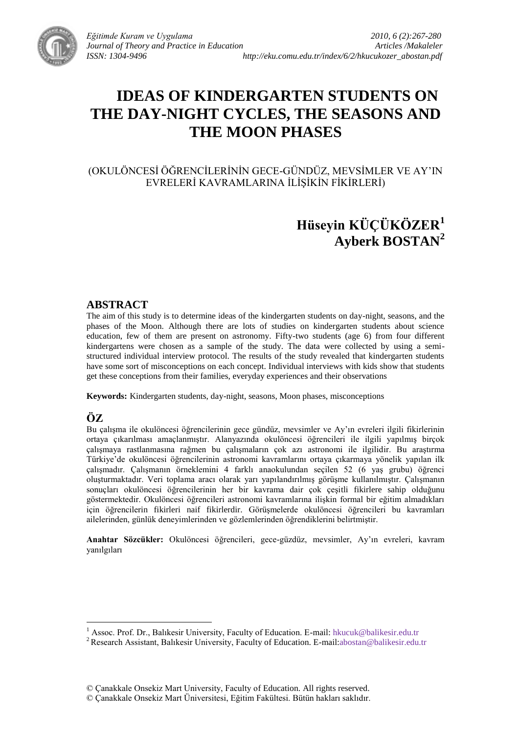

# **IDEAS OF KINDERGARTEN STUDENTS ON THE DAY-NIGHT CYCLES, THE SEASONS AND THE MOON PHASES**

(OKULÖNCESİ ÖĞRENCİLERİNİN GECE-GÜNDÜZ, MEVSİMLER VE AY'IN EVRELERİ KAVRAMLARINA İLİŞİKİN FİKİRLERİ)

## **Hüseyin KÜÇÜKÖZER<sup>1</sup> Ayberk BOSTAN<sup>2</sup>**

#### **ABSTRACT**

The aim of this study is to determine ideas of the kindergarten students on day-night, seasons, and the phases of the Moon. Although there are lots of studies on kindergarten students about science education, few of them are present on astronomy. Fifty-two students (age 6) from four different kindergartens were chosen as a sample of the study. The data were collected by using a semistructured individual interview protocol. The results of the study revealed that kindergarten students have some sort of misconceptions on each concept. Individual interviews with kids show that students get these conceptions from their families, everyday experiences and their observations

**Keywords:** Kindergarten students, day-night, seasons, Moon phases, misconceptions

## **ÖZ**

 $\overline{a}$ 

Bu çalışma ile okulöncesi öğrencilerinin gece gündüz, mevsimler ve Ay'ın evreleri ilgili fikirlerinin ortaya çıkarılması amaçlanmıştır. Alanyazında okulöncesi öğrencileri ile ilgili yapılmış birçok çalışmaya rastlanmasına rağmen bu çalışmaların çok azı astronomi ile ilgilidir. Bu araştırma Türkiye"de okulöncesi öğrencilerinin astronomi kavramlarını ortaya çıkarmaya yönelik yapılan ilk çalışmadır. Calışmanın örneklemini 4 farklı anaokulundan seçilen 52 (6 yaş grubu) öğrenci oluşturmaktadır. Veri toplama aracı olarak yarı yapılandırılmış görüşme kullanılmıştır. Çalışmanın sonuçları okulöncesi öğrencilerinin her bir kavrama dair çok çeşitli fikirlere sahip olduğunu göstermektedir. Okulöncesi öğrencileri astronomi kavramlarına ilişkin formal bir eğitim almadıkları için öğrencilerin fikirleri naif fikirlerdir. GörüĢmelerde okulöncesi öğrencileri bu kavramları ailelerinden, günlük deneyimlerinden ve gözlemlerinden öğrendiklerini belirtmiştir.

**Anahtar Sözcükler:** Okulöncesi öğrencileri, gece-güzdüz, mevsimler, Ay"ın evreleri, kavram yanılgıları

<sup>1</sup> Assoc. Prof. Dr., Balıkesir University, Faculty of Education. E-mail: hkucuk@balikesir.edu.tr

<sup>&</sup>lt;sup>2</sup> Research Assistant, Balıkesir University, Faculty of Education. E-mail:abostan@balikesir.edu.tr

<sup>©</sup> Çanakkale Onsekiz Mart University, Faculty of Education. All rights reserved.

<sup>©</sup> Çanakkale Onsekiz Mart Üniversitesi, Eğitim Fakültesi. Bütün hakları saklıdır.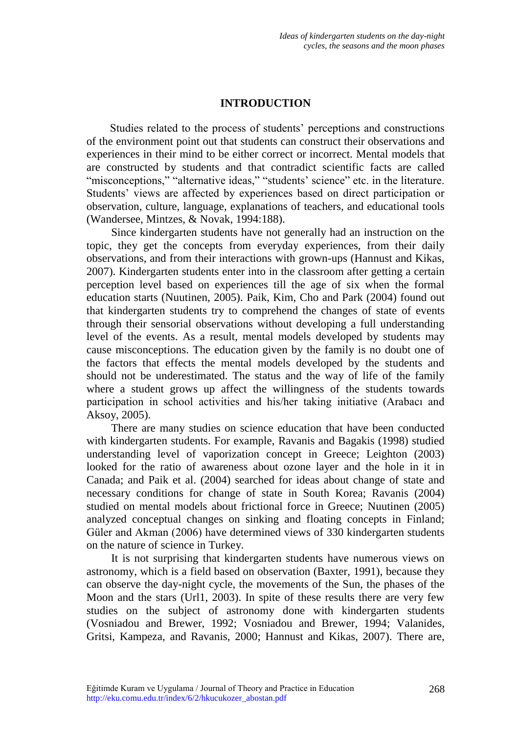## **INTRODUCTION**

Studies related to the process of students' perceptions and constructions of the environment point out that students can construct their observations and experiences in their mind to be either correct or incorrect. Mental models that are constructed by students and that contradict scientific facts are called "misconceptions," "alternative ideas," "students' science" etc. in the literature. Students' views are affected by experiences based on direct participation or observation, culture, language, explanations of teachers, and educational tools (Wandersee, Mintzes, & Novak, 1994:188).

Since kindergarten students have not generally had an instruction on the topic, they get the concepts from everyday experiences, from their daily observations, and from their interactions with grown-ups (Hannust and Kikas, 2007). Kindergarten students enter into in the classroom after getting a certain perception level based on experiences till the age of six when the formal education starts (Nuutinen, 2005). Paik, Kim, Cho and Park (2004) found out that kindergarten students try to comprehend the changes of state of events through their sensorial observations without developing a full understanding level of the events. As a result, mental models developed by students may cause misconceptions. The education given by the family is no doubt one of the factors that effects the mental models developed by the students and should not be underestimated. The status and the way of life of the family where a student grows up affect the willingness of the students towards participation in school activities and his/her taking initiative (Arabacı and Aksoy, 2005).

There are many studies on science education that have been conducted with kindergarten students. For example, Ravanis and Bagakis (1998) studied understanding level of vaporization concept in Greece; Leighton (2003) looked for the ratio of awareness about ozone layer and the hole in it in Canada; and Paik et al. (2004) searched for ideas about change of state and necessary conditions for change of state in South Korea; Ravanis (2004) studied on mental models about frictional force in Greece; Nuutinen (2005) analyzed conceptual changes on sinking and floating concepts in Finland; Güler and Akman (2006) have determined views of 330 kindergarten students on the nature of science in Turkey.

It is not surprising that kindergarten students have numerous views on astronomy, which is a field based on observation (Baxter, 1991), because they can observe the day-night cycle, the movements of the Sun, the phases of the Moon and the stars (Url1, 2003). In spite of these results there are very few studies on the subject of astronomy done with kindergarten students (Vosniadou and Brewer, 1992; Vosniadou and Brewer, 1994; Valanides, Gritsi, Kampeza, and Ravanis, 2000; Hannust and Kikas, 2007). There are,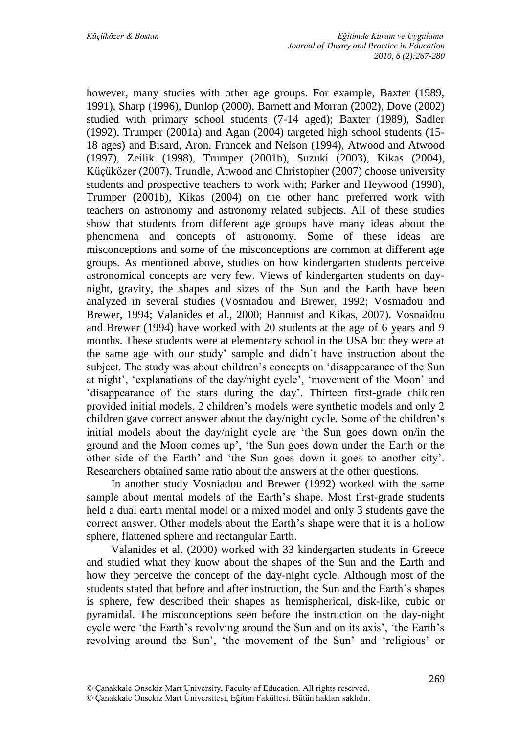however, many studies with other age groups. For example, Baxter (1989, 1991), Sharp (1996), Dunlop (2000), Barnett and Morran (2002), Dove (2002) studied with primary school students (7-14 aged); Baxter (1989), Sadler (1992), Trumper (2001a) and Agan (2004) targeted high school students (15- 18 ages) and Bisard, Aron, Francek and Nelson (1994), Atwood and Atwood (1997), Zeilik (1998), Trumper (2001b), Suzuki (2003), Kikas (2004), Küçüközer (2007), Trundle, Atwood and Christopher (2007) choose university students and prospective teachers to work with; Parker and Heywood (1998), Trumper (2001b), Kikas (2004) on the other hand preferred work with teachers on astronomy and astronomy related subjects. All of these studies show that students from different age groups have many ideas about the phenomena and concepts of astronomy. Some of these ideas are misconceptions and some of the misconceptions are common at different age groups. As mentioned above, studies on how kindergarten students perceive astronomical concepts are very few. Views of kindergarten students on daynight, gravity, the shapes and sizes of the Sun and the Earth have been analyzed in several studies (Vosniadou and Brewer, 1992; Vosniadou and Brewer, 1994; Valanides et al., 2000; Hannust and Kikas, 2007). Vosnaidou and Brewer (1994) have worked with 20 students at the age of 6 years and 9 months. These students were at elementary school in the USA but they were at the same age with our study" sample and didn"t have instruction about the subject. The study was about children"s concepts on "disappearance of the Sun at night", "explanations of the day/night cycle", "movement of the Moon" and "disappearance of the stars during the day". Thirteen first-grade children provided initial models, 2 children"s models were synthetic models and only 2 children gave correct answer about the day/night cycle. Some of the children"s initial models about the day/night cycle are "the Sun goes down on/in the ground and the Moon comes up", "the Sun goes down under the Earth or the other side of the Earth" and "the Sun goes down it goes to another city". Researchers obtained same ratio about the answers at the other questions.

In another study Vosniadou and Brewer (1992) worked with the same sample about mental models of the Earth's shape. Most first-grade students held a dual earth mental model or a mixed model and only 3 students gave the correct answer. Other models about the Earth"s shape were that it is a hollow sphere, flattened sphere and rectangular Earth.

Valanides et al. (2000) worked with 33 kindergarten students in Greece and studied what they know about the shapes of the Sun and the Earth and how they perceive the concept of the day-night cycle. Although most of the students stated that before and after instruction, the Sun and the Earth's shapes is sphere, few described their shapes as hemispherical, disk-like, cubic or pyramidal. The misconceptions seen before the instruction on the day-night cycle were 'the Earth's revolving around the Sun and on its axis', 'the Earth's revolving around the Sun', 'the movement of the Sun' and 'religious' or

<sup>©</sup> Çanakkale Onsekiz Mart Üniversitesi, Eğitim Fakültesi. Bütün hakları saklıdır.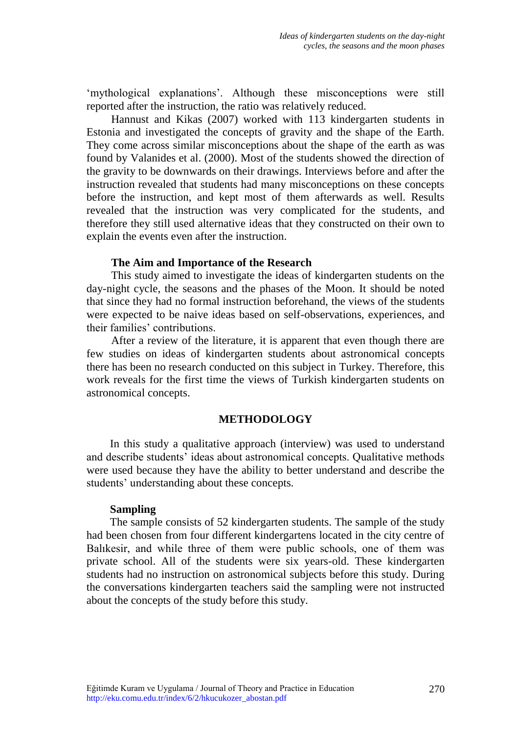'mythological explanations'. Although these misconceptions were still reported after the instruction, the ratio was relatively reduced.

Hannust and Kikas (2007) worked with 113 kindergarten students in Estonia and investigated the concepts of gravity and the shape of the Earth. They come across similar misconceptions about the shape of the earth as was found by Valanides et al. (2000). Most of the students showed the direction of the gravity to be downwards on their drawings. Interviews before and after the instruction revealed that students had many misconceptions on these concepts before the instruction, and kept most of them afterwards as well. Results revealed that the instruction was very complicated for the students, and therefore they still used alternative ideas that they constructed on their own to explain the events even after the instruction.

#### **The Aim and Importance of the Research**

This study aimed to investigate the ideas of kindergarten students on the day-night cycle, the seasons and the phases of the Moon. It should be noted that since they had no formal instruction beforehand, the views of the students were expected to be naive ideas based on self-observations, experiences, and their families" contributions.

After a review of the literature, it is apparent that even though there are few studies on ideas of kindergarten students about astronomical concepts there has been no research conducted on this subject in Turkey. Therefore, this work reveals for the first time the views of Turkish kindergarten students on astronomical concepts.

#### **METHODOLOGY**

In this study a qualitative approach (interview) was used to understand and describe students" ideas about astronomical concepts. Qualitative methods were used because they have the ability to better understand and describe the students' understanding about these concepts.

#### **Sampling**

The sample consists of 52 kindergarten students. The sample of the study had been chosen from four different kindergartens located in the city centre of Balıkesir, and while three of them were public schools, one of them was private school. All of the students were six years-old. These kindergarten students had no instruction on astronomical subjects before this study. During the conversations kindergarten teachers said the sampling were not instructed about the concepts of the study before this study.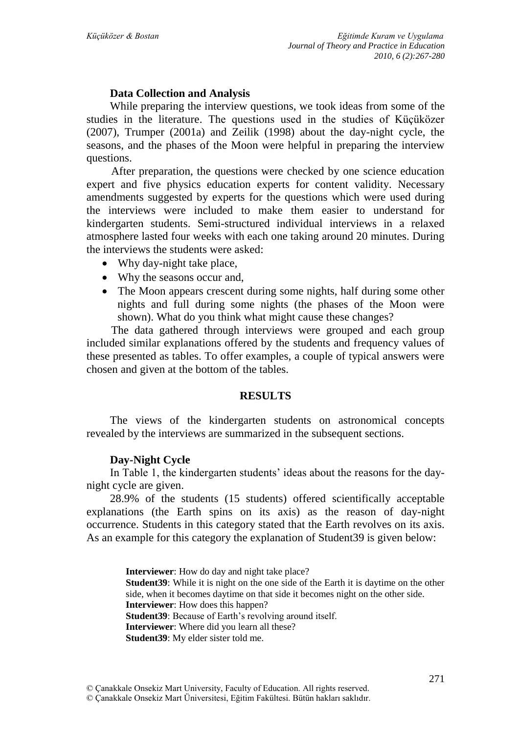## **Data Collection and Analysis**

While preparing the interview questions, we took ideas from some of the studies in the literature. The questions used in the studies of Küçüközer (2007), Trumper (2001a) and Zeilik (1998) about the day-night cycle, the seasons, and the phases of the Moon were helpful in preparing the interview questions.

After preparation, the questions were checked by one science education expert and five physics education experts for content validity. Necessary amendments suggested by experts for the questions which were used during the interviews were included to make them easier to understand for kindergarten students. Semi-structured individual interviews in a relaxed atmosphere lasted four weeks with each one taking around 20 minutes. During the interviews the students were asked:

- Why day-night take place,
- Why the seasons occur and,
- The Moon appears crescent during some nights, half during some other nights and full during some nights (the phases of the Moon were shown). What do you think what might cause these changes?

The data gathered through interviews were grouped and each group included similar explanations offered by the students and frequency values of these presented as tables. To offer examples, a couple of typical answers were chosen and given at the bottom of the tables.

## **RESULTS**

The views of the kindergarten students on astronomical concepts revealed by the interviews are summarized in the subsequent sections.

## **Day-Night Cycle**

In Table 1, the kindergarten students' ideas about the reasons for the daynight cycle are given.

28.9% of the students (15 students) offered scientifically acceptable explanations (the Earth spins on its axis) as the reason of day-night occurrence. Students in this category stated that the Earth revolves on its axis. As an example for this category the explanation of Student39 is given below:

> **Interviewer**: How do day and night take place? **Student39**: While it is night on the one side of the Earth it is daytime on the other side, when it becomes daytime on that side it becomes night on the other side. **Interviewer**: How does this happen? **Student39**: Because of Earth's revolving around itself. **Interviewer**: Where did you learn all these? **Student39**: My elder sister told me.

<sup>©</sup> Çanakkale Onsekiz Mart University, Faculty of Education. All rights reserved.

<sup>©</sup> Çanakkale Onsekiz Mart Üniversitesi, Eğitim Fakültesi. Bütün hakları saklıdır.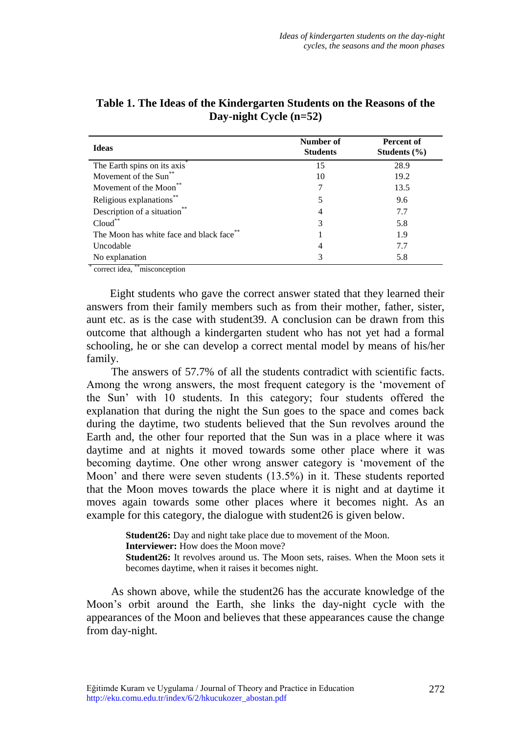| Number of<br><b>Students</b> | Percent of<br>Students $(\% )$ |
|------------------------------|--------------------------------|
| 15                           | 28.9                           |
| 10                           | 19.2                           |
| 7                            | 13.5                           |
| 5                            | 9.6                            |
| 4                            | 7.7                            |
| 3                            | 5.8                            |
|                              | 1.9                            |
| 4                            | 7.7                            |
| 3                            | 5.8                            |
|                              |                                |

**Table 1. The Ideas of the Kindergarten Students on the Reasons of the Day-night Cycle (n=52)**

correct idea, \*\*misconception

Eight students who gave the correct answer stated that they learned their answers from their family members such as from their mother, father, sister, aunt etc. as is the case with student39. A conclusion can be drawn from this outcome that although a kindergarten student who has not yet had a formal schooling, he or she can develop a correct mental model by means of his/her family.

The answers of 57.7% of all the students contradict with scientific facts. Among the wrong answers, the most frequent category is the "movement of the Sun" with 10 students. In this category; four students offered the explanation that during the night the Sun goes to the space and comes back during the daytime, two students believed that the Sun revolves around the Earth and, the other four reported that the Sun was in a place where it was daytime and at nights it moved towards some other place where it was becoming daytime. One other wrong answer category is "movement of the Moon' and there were seven students (13.5%) in it. These students reported that the Moon moves towards the place where it is night and at daytime it moves again towards some other places where it becomes night. As an example for this category, the dialogue with student26 is given below.

> **Student26:** Day and night take place due to movement of the Moon. **Interviewer:** How does the Moon move? **Student26:** It revolves around us. The Moon sets, raises. When the Moon sets it becomes daytime, when it raises it becomes night.

As shown above, while the student26 has the accurate knowledge of the Moon"s orbit around the Earth, she links the day-night cycle with the appearances of the Moon and believes that these appearances cause the change from day-night.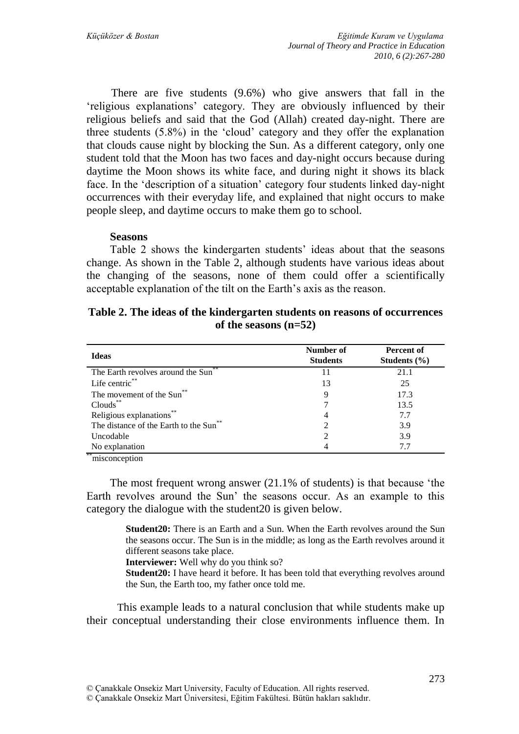There are five students (9.6%) who give answers that fall in the "religious explanations" category. They are obviously influenced by their religious beliefs and said that the God (Allah) created day-night. There are three students (5.8%) in the "cloud" category and they offer the explanation that clouds cause night by blocking the Sun. As a different category, only one student told that the Moon has two faces and day-night occurs because during daytime the Moon shows its white face, and during night it shows its black face. In the 'description of a situation' category four students linked day-night occurrences with their everyday life, and explained that night occurs to make people sleep, and daytime occurs to make them go to school.

#### **Seasons**

Table 2 shows the kindergarten students' ideas about that the seasons change. As shown in the Table 2, although students have various ideas about the changing of the seasons, none of them could offer a scientifically acceptable explanation of the tilt on the Earth's axis as the reason.

|  |                         | Table 2. The ideas of the kindergarten students on reasons of occurrences |
|--|-------------------------|---------------------------------------------------------------------------|
|  | of the seasons $(n=52)$ |                                                                           |

| <b>Ideas</b>                                      | Number of<br><b>Students</b> | Percent of<br>Students $(\% )$ |
|---------------------------------------------------|------------------------------|--------------------------------|
| The Earth revolves around the Sun <sup>7</sup>    | 11                           | 21.1                           |
| Life centric**                                    | 13                           | 25                             |
| The movement of the Sun <sup>**</sup>             | 9                            | 17.3                           |
| $Clouds$ **                                       |                              | 13.5                           |
| Religious explanations**                          | 4                            | 7.7                            |
| The distance of the Earth to the Sun <sup>®</sup> | 2                            | 3.9                            |
| Uncodable                                         | 2                            | 3.9                            |
| No explanation                                    | 4                            | 7.7                            |

\*\*misconception

The most frequent wrong answer (21.1% of students) is that because "the Earth revolves around the Sun" the seasons occur. As an example to this category the dialogue with the student20 is given below.

> **Student20:** There is an Earth and a Sun. When the Earth revolves around the Sun the seasons occur. The Sun is in the middle; as long as the Earth revolves around it different seasons take place.

**Interviewer:** Well why do you think so?

**Student20:** I have heard it before. It has been told that everything revolves around the Sun, the Earth too, my father once told me.

This example leads to a natural conclusion that while students make up their conceptual understanding their close environments influence them. In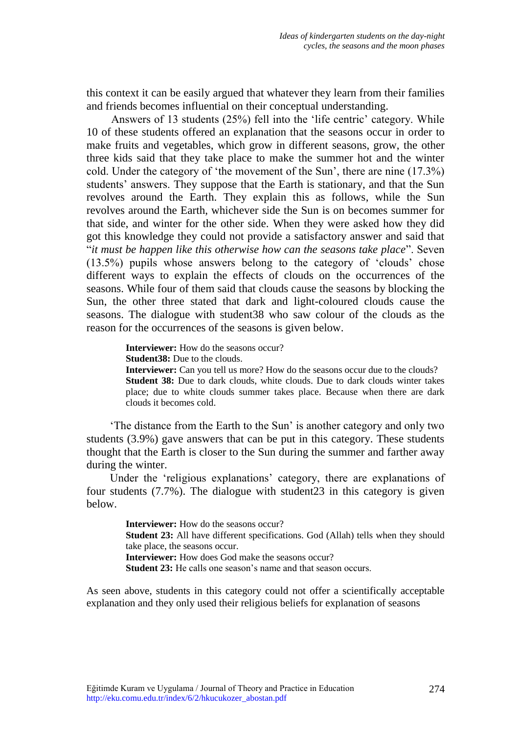this context it can be easily argued that whatever they learn from their families and friends becomes influential on their conceptual understanding.

Answers of 13 students (25%) fell into the 'life centric' category. While 10 of these students offered an explanation that the seasons occur in order to make fruits and vegetables, which grow in different seasons, grow, the other three kids said that they take place to make the summer hot and the winter cold. Under the category of "the movement of the Sun", there are nine (17.3%) students' answers. They suppose that the Earth is stationary, and that the Sun revolves around the Earth. They explain this as follows, while the Sun revolves around the Earth, whichever side the Sun is on becomes summer for that side, and winter for the other side. When they were asked how they did got this knowledge they could not provide a satisfactory answer and said that "*it must be happen like this otherwise how can the seasons take place*". Seven (13.5%) pupils whose answers belong to the category of "clouds" chose different ways to explain the effects of clouds on the occurrences of the seasons. While four of them said that clouds cause the seasons by blocking the Sun, the other three stated that dark and light-coloured clouds cause the seasons. The dialogue with student38 who saw colour of the clouds as the reason for the occurrences of the seasons is given below.

**Interviewer:** How do the seasons occur?

**Student38:** Due to the clouds.

**Interviewer:** Can you tell us more? How do the seasons occur due to the clouds? **Student 38:** Due to dark clouds, white clouds. Due to dark clouds winter takes place; due to white clouds summer takes place. Because when there are dark clouds it becomes cold.

"The distance from the Earth to the Sun" is another category and only two students (3.9%) gave answers that can be put in this category. These students thought that the Earth is closer to the Sun during the summer and farther away during the winter.

Under the 'religious explanations' category, there are explanations of four students (7.7%). The dialogue with student23 in this category is given below.

> **Interviewer:** How do the seasons occur? **Student 23:** All have different specifications. God (Allah) tells when they should take place, the seasons occur. **Interviewer:** How does God make the seasons occur? **Student 23:** He calls one season's name and that season occurs.

As seen above, students in this category could not offer a scientifically acceptable explanation and they only used their religious beliefs for explanation of seasons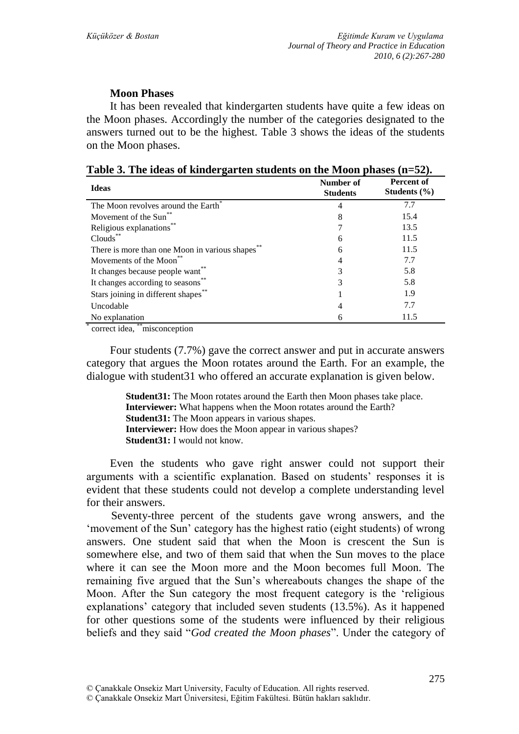## **Moon Phases**

It has been revealed that kindergarten students have quite a few ideas on the Moon phases. Accordingly the number of the categories designated to the answers turned out to be the highest. Table 3 shows the ideas of the students on the Moon phases.

| <b>Ideas</b>                                    | Number of<br><b>Students</b> | Percent of<br>Students $(\% )$ |
|-------------------------------------------------|------------------------------|--------------------------------|
| The Moon revolves around the Earth <sup>®</sup> | 4                            | 7.7                            |
| Movement of the Sun <sup>**</sup>               | 8                            | 15.4                           |
| Religious explanations**                        |                              | 13.5                           |
| Clouds <sup>®</sup>                             | 6                            | 11.5                           |
| There is more than one Moon in various shapes   | 6                            | 11.5                           |
| Movements of the Moon <sup>®</sup>              | 4                            | 7.7                            |
| It changes because people want                  | 3                            | 5.8                            |
| It changes according to seasons <sup>1</sup>    | 3                            | 5.8                            |
| Stars joining in different shapes**             |                              | 1.9                            |
| Uncodable                                       | 4                            | 7.7                            |
| No explanation<br>**                            | 6                            | 11.5                           |

**Table 3. The ideas of kindergarten students on the Moon phases (n=52).**

\* correct idea, \*\*misconception

Four students (7.7%) gave the correct answer and put in accurate answers category that argues the Moon rotates around the Earth. For an example, the dialogue with student31 who offered an accurate explanation is given below.

> **Student31:** The Moon rotates around the Earth then Moon phases take place. **Interviewer:** What happens when the Moon rotates around the Earth? **Student31:** The Moon appears in various shapes. **Interviewer:** How does the Moon appear in various shapes? **Student31:** I would not know.

Even the students who gave right answer could not support their arguments with a scientific explanation. Based on students' responses it is evident that these students could not develop a complete understanding level for their answers.

Seventy-three percent of the students gave wrong answers, and the 'movement of the Sun' category has the highest ratio (eight students) of wrong answers. One student said that when the Moon is crescent the Sun is somewhere else, and two of them said that when the Sun moves to the place where it can see the Moon more and the Moon becomes full Moon. The remaining five argued that the Sun"s whereabouts changes the shape of the Moon. After the Sun category the most frequent category is the "religious explanations' category that included seven students (13.5%). As it happened for other questions some of the students were influenced by their religious beliefs and they said "*God created the Moon phases*". Under the category of

<sup>©</sup> Çanakkale Onsekiz Mart Üniversitesi, Eğitim Fakültesi. Bütün hakları saklıdır.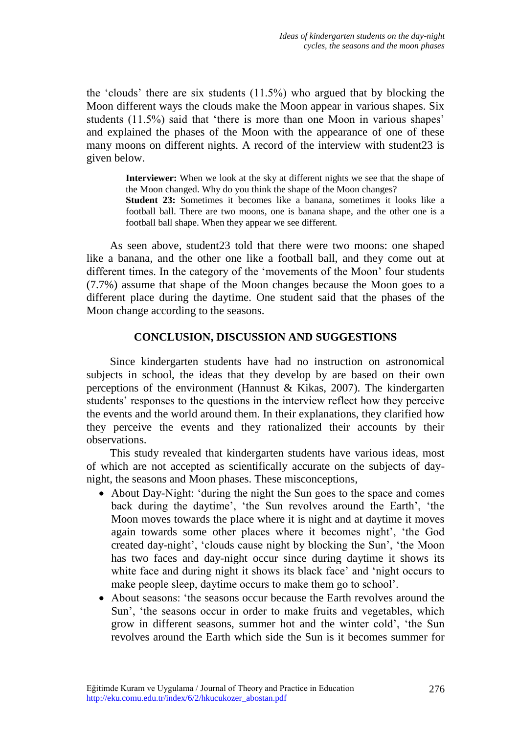the "clouds" there are six students (11.5%) who argued that by blocking the Moon different ways the clouds make the Moon appear in various shapes. Six students (11.5%) said that 'there is more than one Moon in various shapes' and explained the phases of the Moon with the appearance of one of these many moons on different nights. A record of the interview with student23 is given below.

> **Interviewer:** When we look at the sky at different nights we see that the shape of the Moon changed. Why do you think the shape of the Moon changes? **Student 23:** Sometimes it becomes like a banana, sometimes it looks like a football ball. There are two moons, one is banana shape, and the other one is a football ball shape. When they appear we see different.

As seen above, student23 told that there were two moons: one shaped like a banana, and the other one like a football ball, and they come out at different times. In the category of the "movements of the Moon" four students (7.7%) assume that shape of the Moon changes because the Moon goes to a different place during the daytime. One student said that the phases of the Moon change according to the seasons.

## **CONCLUSION, DISCUSSION AND SUGGESTIONS**

Since kindergarten students have had no instruction on astronomical subjects in school, the ideas that they develop by are based on their own perceptions of the environment (Hannust & Kikas, 2007). The kindergarten students' responses to the questions in the interview reflect how they perceive the events and the world around them. In their explanations, they clarified how they perceive the events and they rationalized their accounts by their observations.

This study revealed that kindergarten students have various ideas, most of which are not accepted as scientifically accurate on the subjects of daynight, the seasons and Moon phases. These misconceptions,

- About Day-Night: "during the night the Sun goes to the space and comes back during the daytime', 'the Sun revolves around the Earth', 'the Moon moves towards the place where it is night and at daytime it moves again towards some other places where it becomes night', 'the God created day-night", "clouds cause night by blocking the Sun", "the Moon has two faces and day-night occur since during daytime it shows its white face and during night it shows its black face' and 'night occurs to make people sleep, daytime occurs to make them go to school".
- About seasons: "the seasons occur because the Earth revolves around the Sun", "the seasons occur in order to make fruits and vegetables, which grow in different seasons, summer hot and the winter cold", "the Sun revolves around the Earth which side the Sun is it becomes summer for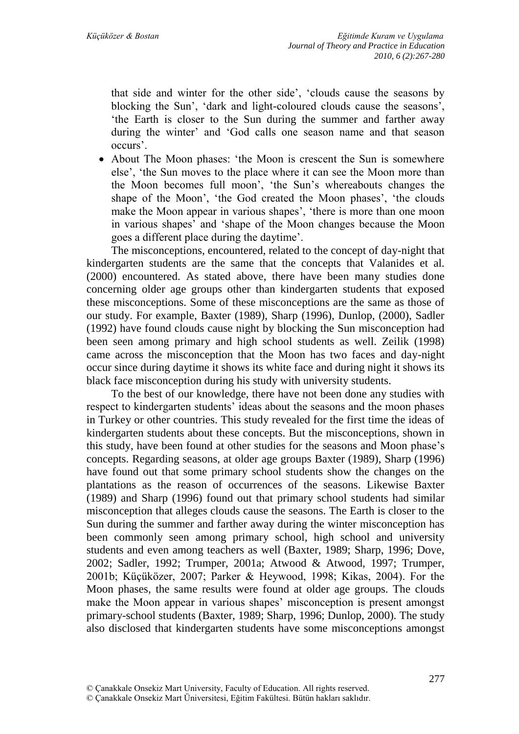that side and winter for the other side", "clouds cause the seasons by blocking the Sun", "dark and light-coloured clouds cause the seasons", "the Earth is closer to the Sun during the summer and farther away during the winter' and 'God calls one season name and that season occurs".

• About The Moon phases: 'the Moon is crescent the Sun is somewhere else", "the Sun moves to the place where it can see the Moon more than the Moon becomes full moon", "the Sun"s whereabouts changes the shape of the Moon', 'the God created the Moon phases', 'the clouds make the Moon appear in various shapes', 'there is more than one moon in various shapes" and "shape of the Moon changes because the Moon goes a different place during the daytime".

The misconceptions, encountered, related to the concept of day-night that kindergarten students are the same that the concepts that Valanides et al. (2000) encountered. As stated above, there have been many studies done concerning older age groups other than kindergarten students that exposed these misconceptions. Some of these misconceptions are the same as those of our study. For example, Baxter (1989), Sharp (1996), Dunlop, (2000), Sadler (1992) have found clouds cause night by blocking the Sun misconception had been seen among primary and high school students as well. Zeilik (1998) came across the misconception that the Moon has two faces and day-night occur since during daytime it shows its white face and during night it shows its black face misconception during his study with university students.

To the best of our knowledge, there have not been done any studies with respect to kindergarten students' ideas about the seasons and the moon phases in Turkey or other countries. This study revealed for the first time the ideas of kindergarten students about these concepts. But the misconceptions, shown in this study, have been found at other studies for the seasons and Moon phase"s concepts. Regarding seasons, at older age groups Baxter (1989), Sharp (1996) have found out that some primary school students show the changes on the plantations as the reason of occurrences of the seasons. Likewise Baxter (1989) and Sharp (1996) found out that primary school students had similar misconception that alleges clouds cause the seasons. The Earth is closer to the Sun during the summer and farther away during the winter misconception has been commonly seen among primary school, high school and university students and even among teachers as well (Baxter, 1989; Sharp, 1996; Dove, 2002; Sadler, 1992; Trumper, 2001a; Atwood & Atwood, 1997; Trumper, 2001b; Küçüközer, 2007; Parker & Heywood, 1998; Kikas, 2004). For the Moon phases, the same results were found at older age groups. The clouds make the Moon appear in various shapes' misconception is present amongst primary-school students (Baxter, 1989; Sharp, 1996; Dunlop, 2000). The study also disclosed that kindergarten students have some misconceptions amongst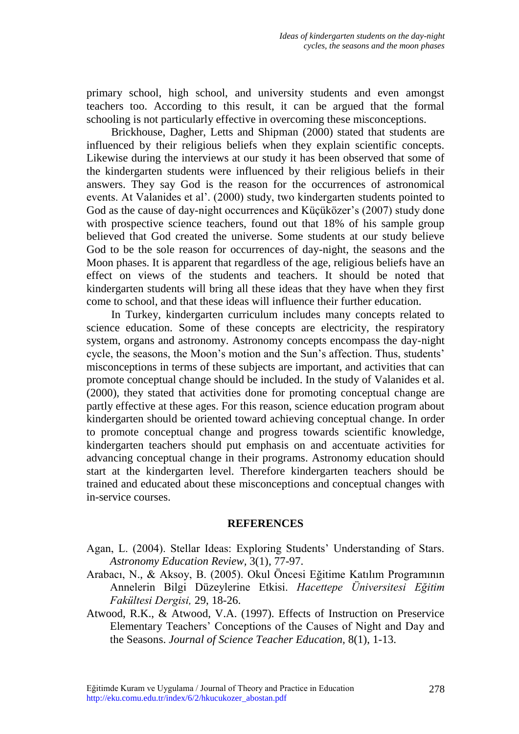primary school, high school, and university students and even amongst teachers too. According to this result, it can be argued that the formal schooling is not particularly effective in overcoming these misconceptions.

Brickhouse, Dagher, Letts and Shipman (2000) stated that students are influenced by their religious beliefs when they explain scientific concepts. Likewise during the interviews at our study it has been observed that some of the kindergarten students were influenced by their religious beliefs in their answers. They say God is the reason for the occurrences of astronomical events. At Valanides et al'. (2000) study, two kindergarten students pointed to God as the cause of day-night occurrences and Küçüközer's (2007) study done with prospective science teachers, found out that 18% of his sample group believed that God created the universe. Some students at our study believe God to be the sole reason for occurrences of day-night, the seasons and the Moon phases. It is apparent that regardless of the age, religious beliefs have an effect on views of the students and teachers. It should be noted that kindergarten students will bring all these ideas that they have when they first come to school, and that these ideas will influence their further education.

In Turkey, kindergarten curriculum includes many concepts related to science education. Some of these concepts are electricity, the respiratory system, organs and astronomy. Astronomy concepts encompass the day-night cycle, the seasons, the Moon's motion and the Sun's affection. Thus, students' misconceptions in terms of these subjects are important, and activities that can promote conceptual change should be included. In the study of Valanides et al. (2000), they stated that activities done for promoting conceptual change are partly effective at these ages. For this reason, science education program about kindergarten should be oriented toward achieving conceptual change. In order to promote conceptual change and progress towards scientific knowledge, kindergarten teachers should put emphasis on and accentuate activities for advancing conceptual change in their programs. Astronomy education should start at the kindergarten level. Therefore kindergarten teachers should be trained and educated about these misconceptions and conceptual changes with in-service courses.

#### **REFERENCES**

- Agan, L. (2004). Stellar Ideas: Exploring Students' Understanding of Stars. *Astronomy Education Review,* 3(1), 77-97.
- Arabacı, N., & Aksoy, B. (2005). Okul Öncesi Eğitime Katılım Programının Annelerin Bilgi Düzeylerine Etkisi. *Hacettepe Üniversitesi Eğitim Fakültesi Dergisi,* 29, 18-26.
- Atwood, R.K., & Atwood, V.A. (1997). Effects of Instruction on Preservice Elementary Teachers" Conceptions of the Causes of Night and Day and the Seasons. *Journal of Science Teacher Education,* 8(1), 1-13.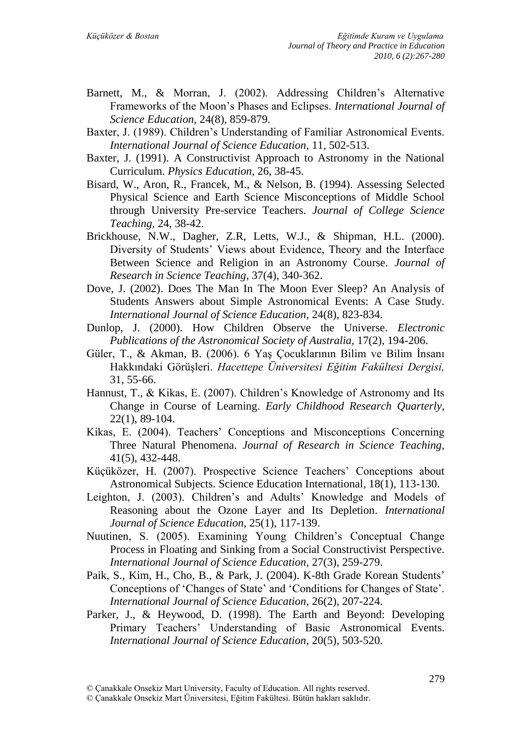- Barnett, M., & Morran, J. (2002). Addressing Children's Alternative Frameworks of the Moon"s Phases and Eclipses. *International Journal of Science Education*, 24(8), 859-879.
- Baxter, J. (1989). Children"s Understanding of Familiar Astronomical Events. *International Journal of Science Education,* 11, 502-513.
- Baxter, J. (1991). A Constructivist Approach to Astronomy in the National Curriculum. *Physics Education,* 26, 38-45.
- Bisard, W., Aron, R., Francek, M., & Nelson, B. (1994). Assessing Selected Physical Science and Earth Science Misconceptions of Middle School through University Pre-service Teachers. *Journal of College Science Teaching,* 24, 38-42.
- Brickhouse, N.W., Dagher, Z.R, Letts, W.J., & Shipman, H.L. (2000). Diversity of Students" Views about Evidence, Theory and the Interface Between Science and Religion in an Astronomy Course. *Journal of Research in Science Teaching,* 37(4), 340-362.
- Dove, J. (2002). Does The Man In The Moon Ever Sleep? An Analysis of Students Answers about Simple Astronomical Events: A Case Study. *International Journal of Science Education,* 24(8), 823-834.
- Dunlop, J. (2000). How Children Observe the Universe. *Electronic Publications of the Astronomical Society of Australia,* 17(2), 194-206.
- Güler, T., & Akman, B. (2006). 6 Yaş Çocuklarının Bilim ve Bilim İnsanı Hakkındaki GörüĢleri. *Hacettepe Üniversitesi Eğitim Fakültesi Dergisi,*  31, 55-66.
- Hannust, T., & Kikas, E. (2007). Children"s Knowledge of Astronomy and Its Change in Course of Learning. *Early Childhood Research Quarterly*, 22(1), 89-104.
- Kikas, E. (2004). Teachers' Conceptions and Misconceptions Concerning Three Natural Phenomena. *Journal of Research in Science Teaching,*  41(5), 432-448.
- Küçüközer, H. (2007). Prospective Science Teachers" Conceptions about Astronomical Subjects. Science Education International*,* 18(1), 113-130.
- Leighton, J. (2003). Children's and Adults' Knowledge and Models of Reasoning about the Ozone Layer and Its Depletion. *International Journal of Science Education,* 25(1), 117-139.
- Nuutinen, S. (2005). Examining Young Children"s Conceptual Change Process in Floating and Sinking from a Social Constructivist Perspective. *International Journal of Science Education,* 27(3), 259-279.
- Paik, S., Kim, H., Cho, B., & Park, J. (2004). K-8th Grade Korean Students' Conceptions of "Changes of State" and "Conditions for Changes of State". *International Journal of Science Education,* 26(2), 207-224.
- Parker, J., & Heywood, D. (1998). The Earth and Beyond: Developing Primary Teachers" Understanding of Basic Astronomical Events. *International Journal of Science Education,* 20(5), 503-520.

<sup>©</sup> Çanakkale Onsekiz Mart University, Faculty of Education. All rights reserved.

<sup>©</sup> Çanakkale Onsekiz Mart Üniversitesi, Eğitim Fakültesi. Bütün hakları saklıdır.